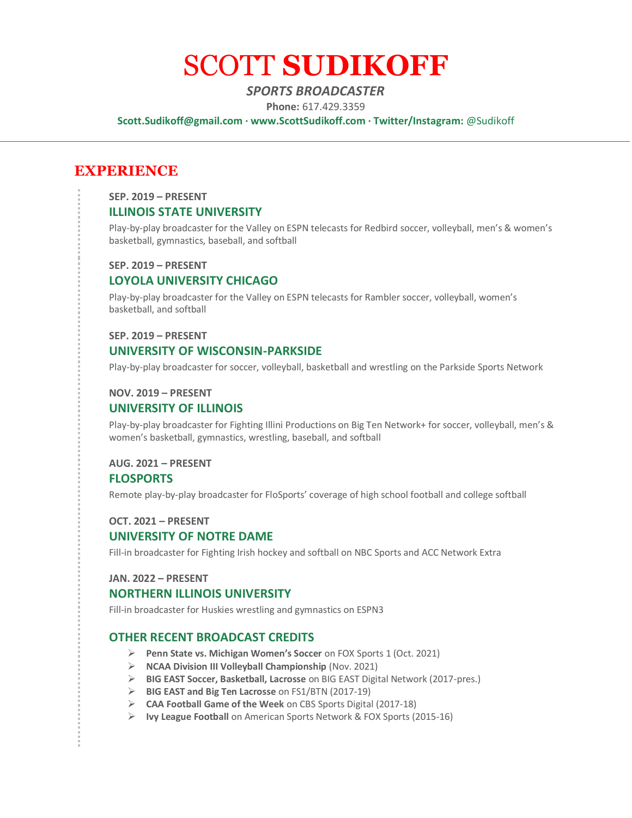# SCOTT **SUDIKOFF**

# *SPORTS BROADCASTER*

**Phone:** 617.429.3359

**Scott.Sudikoff@gmail.com · www.ScottSudikoff.com · Twitter/Instagram:** @Sudikoff

# **EXPERIENCE**

**SEP. 2019 – PRESENT**

# **ILLINOIS STATE UNIVERSITY**

Play-by-play broadcaster for the Valley on ESPN telecasts for Redbird soccer, volleyball, men's & women's basketball, gymnastics, baseball, and softball

#### **SEP. 2019 – PRESENT**

## **LOYOLA UNIVERSITY CHICAGO**

Play-by-play broadcaster for the Valley on ESPN telecasts for Rambler soccer, volleyball, women's basketball, and softball

#### **SEP. 2019 – PRESENT**

# **UNIVERSITY OF WISCONSIN-PARKSIDE**

Play-by-play broadcaster for soccer, volleyball, basketball and wrestling on the Parkside Sports Network

#### **NOV. 2019 – PRESENT**

## **UNIVERSITY OF ILLINOIS**

Play-by-play broadcaster for Fighting Illini Productions on Big Ten Network+ for soccer, volleyball, men's & women's basketball, gymnastics, wrestling, baseball, and softball

# **AUG. 2021 – PRESENT FLOSPORTS**

Remote play-by-play broadcaster for FloSports' coverage of high school football and college softball

#### **OCT. 2021 – PRESENT**

## **UNIVERSITY OF NOTRE DAME**

Fill-in broadcaster for Fighting Irish hockey and softball on NBC Sports and ACC Network Extra

## **JAN. 2022 – PRESENT**

#### **NORTHERN ILLINOIS UNIVERSITY**

Fill-in broadcaster for Huskies wrestling and gymnastics on ESPN3

# **OTHER RECENT BROADCAST CREDITS**

- ➢ **Penn State vs. Michigan Women's Soccer** on FOX Sports 1 (Oct. 2021)
- ➢ **NCAA Division III Volleyball Championship** (Nov. 2021)
- ➢ **BIG EAST Soccer, Basketball, Lacrosse** on BIG EAST Digital Network (2017-pres.)
- ➢ **BIG EAST and Big Ten Lacrosse** on FS1/BTN (2017-19)
- ➢ **CAA Football Game of the Week** on CBS Sports Digital (2017-18)
- ➢ **Ivy League Football** on American Sports Network & FOX Sports (2015-16)